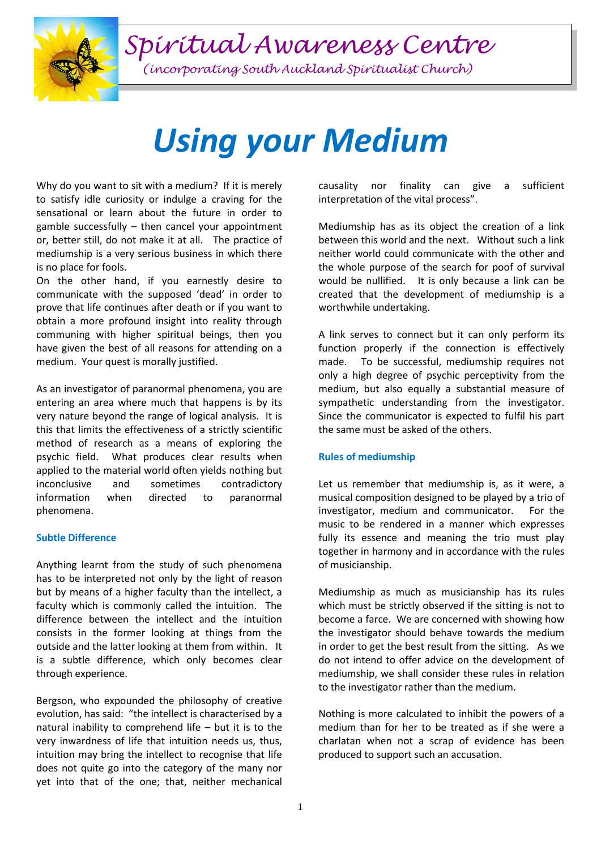*Spiritual Awareness Centre*



*(incorporating South Auckland Spiritualist Church)*

## *Using your Medium*

Why do you want to sit with a medium? If it is merely to satisfy idle curiosity or indulge a craving for the sensational or learn about the future in order to gamble successfully – then cancel your appointment or, better still, do not make it at all. The practice of mediumship is a very serious business in which there is no place for fools.

On the other hand, if you earnestly desire to communicate with the supposed 'dead' in order to prove that life continues after death or if you want to obtain a more profound insight into reality through communing with higher spiritual beings, then you have given the best of all reasons for attending on a medium. Your quest is morally justified.

As an investigator of paranormal phenomena, you are entering an area where much that happens is by its very nature beyond the range of logical analysis. It is this that limits the effectiveness of a strictly scientific method of research as a means of exploring the psychic field. What produces clear results when applied to the material world often yields nothing but inconclusive and sometimes contradictory information when directed to paranormal phenomena.

## **Subtle Difference**

Anything learnt from the study of such phenomena has to be interpreted not only by the light of reason but by means of a higher faculty than the intellect, a faculty which is commonly called the intuition. The difference between the intellect and the intuition consists in the former looking at things from the outside and the latter looking at them from within. It is a subtle difference, which only becomes clear through experience.

Bergson, who expounded the philosophy of creative evolution, has said: "the intellect is characterised by a natural inability to comprehend life – but it is to the very inwardness of life that intuition needs us, thus, intuition may bring the intellect to recognise that life does not quite go into the category of the many nor yet into that of the one; that, neither mechanical causality nor finality can give a sufficient interpretation of the vital process".

Mediumship has as its object the creation of a link between this world and the next. Without such a link neither world could communicate with the other and the whole purpose of the search for poof of survival would be nullified. It is only because a link can be created that the development of mediumship is a worthwhile undertaking.

A link serves to connect but it can only perform its function properly if the connection is effectively made. To be successful, mediumship requires not only a high degree of psychic perceptivity from the medium, but also equally a substantial measure of sympathetic understanding from the investigator. Since the communicator is expected to fulfil his part the same must be asked of the others.

## **Rules of mediumship**

Let us remember that mediumship is, as it were, a musical composition designed to be played by a trio of investigator, medium and communicator. For the music to be rendered in a manner which expresses fully its essence and meaning the trio must play together in harmony and in accordance with the rules of musicianship.

Mediumship as much as musicianship has its rules which must be strictly observed if the sitting is not to become a farce. We are concerned with showing how the investigator should behave towards the medium in order to get the best result from the sitting. As we do not intend to offer advice on the development of mediumship, we shall consider these rules in relation to the investigator rather than the medium.

Nothing is more calculated to inhibit the powers of a medium than for her to be treated as if she were a charlatan when not a scrap of evidence has been produced to support such an accusation.